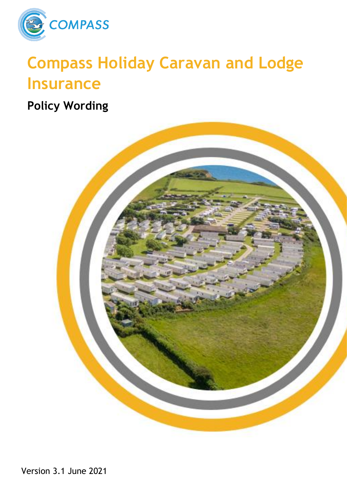

# **Compass Holiday Caravan and Lodge Insurance**

**Policy Wording**

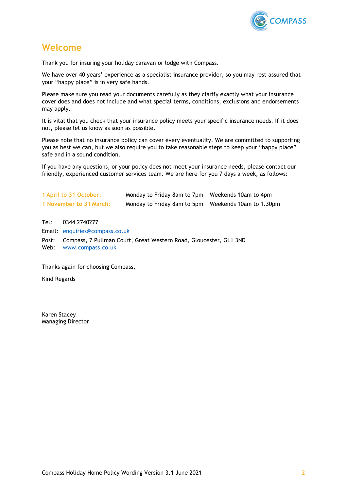

# <span id="page-1-0"></span>**Welcome**

Thank you for insuring your holiday caravan or lodge with Compass.

We have over 40 years' experience as a specialist insurance provider, so you may rest assured that your "happy place" is in very safe hands.

Please make sure you read your documents carefully as they clarify exactly what your insurance cover does and does not include and what special terms, conditions, exclusions and endorsements may apply.

It is vital that you check that your insurance policy meets your specific insurance needs. If it does not, please let us know as soon as possible.

Please note that no insurance policy can cover every eventuality. We are committed to supporting you as best we can, but we also require you to take reasonable steps to keep your "happy place" safe and in a sound condition.

If you have any questions, or your policy does not meet your insurance needs, please contact our friendly, experienced customer services team. We are here for you 7 days a week, as follows:

| 1 April to 31 October:  | Monday to Friday 8am to 7pm Weekends 10am to 4pm     |  |
|-------------------------|------------------------------------------------------|--|
| 1 November to 31 March: | Monday to Friday 8am to 5pm  Weekends 10am to 1.30pm |  |

Tel: 0344 2740277 Email: [enquiries@compass.co.uk](mailto:enquiries@compass.co.uk) Post: Compass, 7 Pullman Court, Great Western Road, Gloucester, GL1 3ND Web: [www.compass.co.uk](http://www.compass.co.uk/)

Thanks again for choosing Compass,

Kind Regards

Karen Stacey Managing Director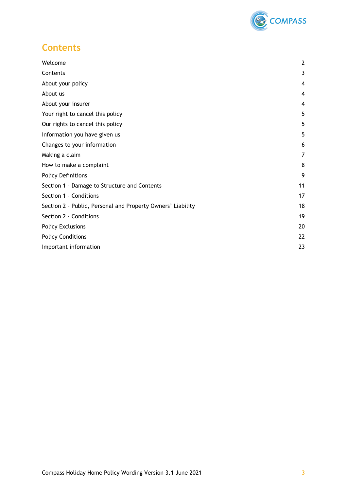

# <span id="page-2-0"></span>**Contents**

| Welcome                                                     | $\mathbf{2}$ |
|-------------------------------------------------------------|--------------|
| Contents                                                    | 3            |
| About your policy                                           | 4            |
| About us                                                    | 4            |
| About your insurer                                          | 4            |
| Your right to cancel this policy                            | 5            |
| Our rights to cancel this policy                            | 5            |
| Information you have given us                               | 5            |
| Changes to your information                                 | 6            |
| Making a claim                                              | 7            |
| How to make a complaint                                     | 8            |
| <b>Policy Definitions</b>                                   | 9            |
| Section 1 - Damage to Structure and Contents                | 11           |
| Section 1 - Conditions                                      | 17           |
| Section 2 - Public, Personal and Property Owners' Liability | 18           |
| Section 2 - Conditions                                      | 19           |
| <b>Policy Exclusions</b>                                    | 20           |
| <b>Policy Conditions</b>                                    | 22           |
| Important information                                       | 23           |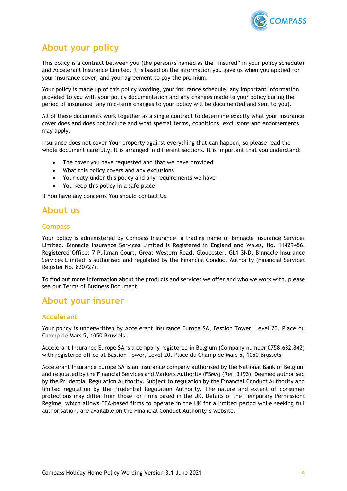

# <span id="page-3-0"></span>**About your policy**

This policy is a contract between you (the person/s named as the "insured" in your policy schedule) and Accelerant Insurance Limited. It is based on the information you gave us when you applied for your insurance cover, and your agreement to pay the premium.

Your policy is made up of this policy wording, your insurance schedule, any important information provided to you with your policy documentation and any changes made to your policy during the period of insurance (any mid-term changes to your policy will be documented and sent to you).

All of these documents work together as a single contract to determine exactly what your insurance cover does and does not include and what special terms, conditions, exclusions and endorsements may apply.

Insurance does not cover Your property against everything that can happen, so please read the whole document carefully. It is arranged in different sections. It is important that you understand:

- The cover you have requested and that we have provided
- What this policy covers and any exclusions
- Your duty under this policy and any requirements we have
- You keep this policy in a safe place

If You have any concerns You should contact Us.

# <span id="page-3-1"></span>**About us**

# **Compass**

Your policy is administered by Compass Insurance, a trading name of Binnacle Insurance Services Limited. Binnacle Insurance Services Limited is Registered in England and Wales, No. 11429456. Registered Office: 7 Pullman Court, Great Western Road, Gloucester, GL1 3ND. Binnacle Insurance Services Limited is authorised and regulated by the Financial Conduct Authority (Financial Services Register No. 820727).

To find out more information about the products and services we offer and who we work with, please see our Terms of Business Document

# <span id="page-3-2"></span>**About your insurer**

# **Accelerant**

Your policy is underwritten by Accelerant Insurance Europe SA, Bastion Tower, Level 20, Place du Champ de Mars 5, 1050 Brussels.

Accelerant Insurance Europe SA is a company registered in Belgium (Company number 0758.632.842) with registered office at Bastion Tower, Level 20, Place du Champ de Mars 5, 1050 Brussels

Accelerant Insurance Europe SA is an insurance company authorised by the National Bank of Belgium and regulated by the Financial Services and Markets Authority (FSMA) (Ref. 3193). Deemed authorised by the Prudential Regulation Authority. Subject to regulation by the Financial Conduct Authority and limited regulation by the Prudential Regulation Authority. The nature and extent of consumer protections may differ from those for firms based in the UK. Details of the Temporary Permissions Regime, which allows EEA-based firms to operate in the UK for a limited period while seeking full authorisation, are available on the Financial Conduct Authority's website.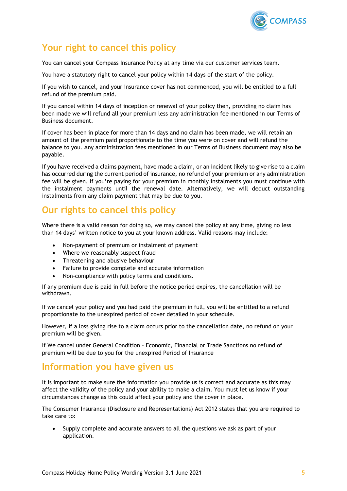

# <span id="page-4-0"></span>**Your right to cancel this policy**

You can cancel your Compass Insurance Policy at any time via our customer services team.

You have a statutory right to cancel your policy within 14 days of the start of the policy.

If you wish to cancel, and your insurance cover has not commenced, you will be entitled to a full refund of the premium paid.

If you cancel within 14 days of inception or renewal of your policy then, providing no claim has been made we will refund all your premium less any administration fee mentioned in our Terms of Business document.

If cover has been in place for more than 14 days and no claim has been made, we will retain an amount of the premium paid proportionate to the time you were on cover and will refund the balance to you. Any administration fees mentioned in our Terms of Business document may also be payable.

If you have received a claims payment, have made a claim, or an incident likely to give rise to a claim has occurred during the current period of insurance, no refund of your premium or any administration fee will be given. If you're paying for your premium in monthly instalments you must continue with the instalment payments until the renewal date. Alternatively, we will deduct outstanding instalments from any claim payment that may be due to you.

# <span id="page-4-1"></span>**Our rights to cancel this policy**

Where there is a valid reason for doing so, we may cancel the policy at any time, giving no less than 14 days' written notice to you at your known address. Valid reasons may include:

- Non-payment of premium or instalment of payment
- Where we reasonably suspect fraud
- Threatening and abusive behaviour
- Failure to provide complete and accurate information
- Non-compliance with policy terms and conditions.

If any premium due is paid in full before the notice period expires, the cancellation will be withdrawn.

If we cancel your policy and you had paid the premium in full, you will be entitled to a refund proportionate to the unexpired period of cover detailed in your schedule.

However, if a loss giving rise to a claim occurs prior to the cancellation date, no refund on your premium will be given.

If We cancel under General Condition – Economic, Financial or Trade Sanctions no refund of premium will be due to you for the unexpired Period of Insurance

# <span id="page-4-2"></span>**Information you have given us**

It is important to make sure the information you provide us is correct and accurate as this may affect the validity of the policy and your ability to make a claim. You must let us know if your circumstances change as this could affect your policy and the cover in place.

The Consumer Insurance (Disclosure and Representations) Act 2012 states that you are required to take care to:

• Supply complete and accurate answers to all the questions we ask as part of your application.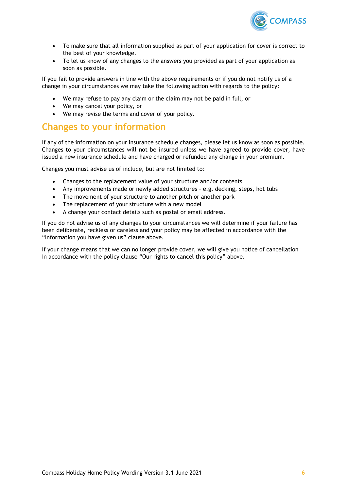

- To make sure that all information supplied as part of your application for cover is correct to the best of your knowledge.
- To let us know of any changes to the answers you provided as part of your application as soon as possible.

If you fail to provide answers in line with the above requirements or if you do not notify us of a change in your circumstances we may take the following action with regards to the policy:

- We may refuse to pay any claim or the claim may not be paid in full, or
- We may cancel your policy, or
- We may revise the terms and cover of your policy.

# <span id="page-5-0"></span>**Changes to your information**

If any of the information on your insurance schedule changes, please let us know as soon as possible. Changes to your circumstances will not be insured unless we have agreed to provide cover, have issued a new insurance schedule and have charged or refunded any change in your premium.

Changes you must advise us of include, but are not limited to:

- Changes to the replacement value of your structure and/or contents
- Any improvements made or newly added structures e.g. decking, steps, hot tubs
- The movement of your structure to another pitch or another park
- The replacement of your structure with a new model
- A change your contact details such as postal or email address.

If you do not advise us of any changes to your circumstances we will determine if your failure has been deliberate, reckless or careless and your policy may be affected in accordance with the "Information you have given us" clause above.

If your change means that we can no longer provide cover, we will give you notice of cancellation in accordance with the policy clause "Our rights to cancel this policy" above.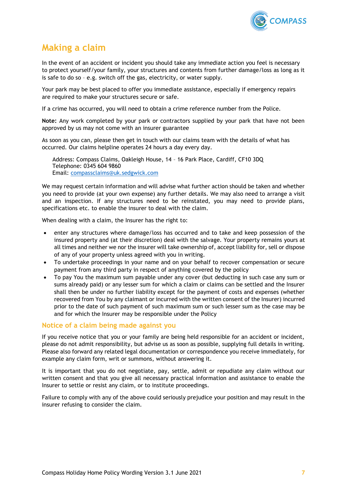

# <span id="page-6-0"></span>**Making a claim**

In the event of an accident or incident you should take any immediate action you feel is necessary to protect yourself/your family, your structures and contents from further damage/loss as long as it is safe to do so – e.g. switch off the gas, electricity, or water supply.

Your park may be best placed to offer you immediate assistance, especially if emergency repairs are required to make your structures secure or safe.

If a crime has occurred, you will need to obtain a crime reference number from the Police.

**Note:** Any work completed by your park or contractors supplied by your park that have not been approved by us may not come with an insurer guarantee

As soon as you can, please then get in touch with our claims team with the details of what has occurred. Our claims helpline operates 24 hours a day every day.

Address: Compass Claims, Oakleigh House, 14 – 16 Park Place, Cardiff, CF10 3DQ Telephone: 0345 604 9860 Email: [compassclaims@uk.sedgwick.com](mailto:compassclaims@uk.sedgwick.com)

We may request certain information and will advise what further action should be taken and whether you need to provide (at your own expense) any further details. We may also need to arrange a visit and an inspection. If any structures need to be reinstated, you may need to provide plans, specifications etc. to enable the insurer to deal with the claim.

When dealing with a claim, the Insurer has the right to:

- enter any structures where damage/loss has occurred and to take and keep possession of the insured property and (at their discretion) deal with the salvage. Your property remains yours at all times and neither we nor the insurer will take ownership of, accept liability for, sell or dispose of any of your property unless agreed with you in writing.
- To undertake proceedings in your name and on your behalf to recover compensation or secure payment from any third party in respect of anything covered by the policy
- To pay You the maximum sum payable under any cover (but deducting in such case any sum or sums already paid) or any lesser sum for which a claim or claims can be settled and the Insurer shall then be under no further liability except for the payment of costs and expenses (whether recovered from You by any claimant or incurred with the written consent of the Insurer) incurred prior to the date of such payment of such maximum sum or such lesser sum as the case may be and for which the Insurer may be responsible under the Policy

# **Notice of a claim being made against you**

If you receive notice that you or your family are being held responsible for an accident or incident, please do not admit responsibility, but advise us as soon as possible, supplying full details in writing. Please also forward any related legal documentation or correspondence you receive immediately, for example any claim form, writ or summons, without answering it.

It is important that you do not negotiate, pay, settle, admit or repudiate any claim without our written consent and that you give all necessary practical information and assistance to enable the Insurer to settle or resist any claim, or to institute proceedings.

Failure to comply with any of the above could seriously prejudice your position and may result in the insurer refusing to consider the claim.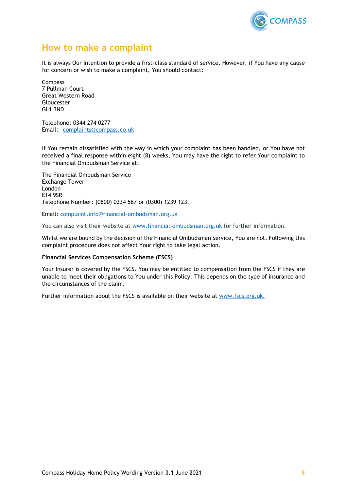

# <span id="page-7-0"></span>**How to make a complaint**

It is always Our intention to provide a first-class standard of service. However, if You have any cause for concern or wish to make a complaint, You should contact:

Compass 7 Pullman Court Great Western Road Gloucester GL1 3ND

Telephone: 0344 274 0277 Email: complaints@compass.co.uk

If You remain dissatisfied with the way in which your complaint has been handled, or You have not received a final response within eight (8) weeks, You may have the right to refer Your complaint to the Financial Ombudsman Service at:

The Financial Ombudsman Service Exchange Tower London E14 9SR Telephone Number: (0800) 0234 567 or (0300) 1239 123.

Email: [complaint.info@financial-ombudsman.org.uk](mailto:complaint.info@financial-ombudsman.org.uk)

You can also visit their website at [www.financial-ombudsman.org.uk](http://www.financial-ombudsman.org.uk/) for further information.

Whilst we are bound by the decision of the Financial Ombudsman Service, You are not. Following this complaint procedure does not affect Your right to take legal action.

#### **Financial Services Compensation Scheme (FSCS)**

Your Insurer is covered by the FSCS. You may be entitled to compensation from the FSCS if they are unable to meet their obligations to You under this Policy. This depends on the type of insurance and the circumstances of the claim.

Further information about the FSCS is available on their website at [www.fscs.org.uk.](http://www.fscs.org.uk/)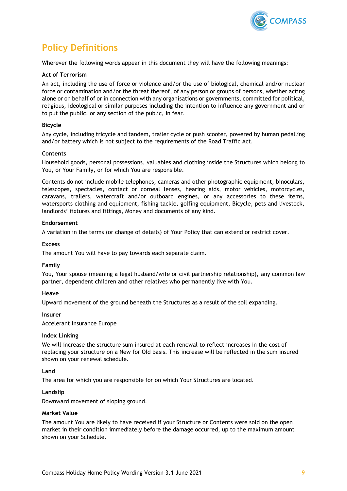

# <span id="page-8-0"></span>**Policy Definitions**

Wherever the following words appear in this document they will have the following meanings:

## **Act of Terrorism**

An act, including the use of force or violence and/or the use of biological, chemical and/or nuclear force or contamination and/or the threat thereof, of any person or groups of persons, whether acting alone or on behalf of or in connection with any organisations or governments, committed for political, religious, ideological or similar purposes including the intention to influence any government and or to put the public, or any section of the public, in fear.

### **Bicycle**

Any cycle, including tricycle and tandem, trailer cycle or push scooter, powered by human pedalling and/or battery which is not subject to the requirements of the Road Traffic Act.

### **Contents**

Household goods, personal possessions, valuables and clothing inside the Structures which belong to You, or Your Family, or for which You are responsible.

Contents do not include mobile telephones, cameras and other photographic equipment, binoculars, telescopes, spectacles, contact or corneal lenses, hearing aids, motor vehicles, motorcycles, caravans, trailers, watercraft and/or outboard engines, or any accessories to these items, watersports clothing and equipment, fishing tackle, golfing equipment, Bicycle, pets and livestock, landlords' fixtures and fittings, Money and documents of any kind.

#### **Endorsement**

A variation in the terms (or change of details) of Your Policy that can extend or restrict cover.

### **Excess**

The amount You will have to pay towards each separate claim.

# **Family**

You, Your spouse (meaning a legal husband/wife or civil partnership relationship), any common law partner, dependent children and other relatives who permanently live with You.

#### **Heave**

Upward movement of the ground beneath the Structures as a result of the soil expanding.

#### **Insurer**

Accelerant Insurance Europe

#### **Index Linking**

We will increase the structure sum insured at each renewal to reflect increases in the cost of replacing your structure on a New for Old basis. This increase will be reflected in the sum insured shown on your renewal schedule.

#### **Land**

The area for which you are responsible for on which Your Structures are located.

#### **Landslip**

Downward movement of sloping ground.

### **Market Value**

The amount You are likely to have received if your Structure or Contents were sold on the open market in their condition immediately before the damage occurred, up to the maximum amount shown on your Schedule.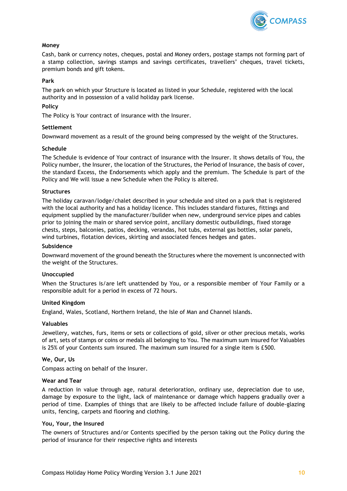

# **Money**

Cash, bank or currency notes, cheques, postal and Money orders, postage stamps not forming part of a stamp collection, savings stamps and savings certificates, travellers' cheques, travel tickets, premium bonds and gift tokens.

### **Park**

The park on which your Structure is located as listed in your Schedule, registered with the local authority and in possession of a valid holiday park license.

### **Policy**

The Policy is Your contract of insurance with the Insurer.

#### **Settlement**

Downward movement as a result of the ground being compressed by the weight of the Structures.

#### **Schedule**

The Schedule is evidence of Your contract of insurance with the Insurer. It shows details of You, the Policy number, the Insurer, the location of the Structures, the Period of Insurance, the basis of cover, the standard Excess, the Endorsements which apply and the premium. The Schedule is part of the Policy and We will issue a new Schedule when the Policy is altered.

#### **Structures**

The holiday caravan/lodge/chalet described in your schedule and sited on a park that is registered with the local authority and has a holiday licence. This includes standard fixtures, fittings and equipment supplied by the manufacturer/builder when new, underground service pipes and cables prior to joining the main or shared service point, ancillary domestic outbuildings, fixed storage chests, steps, balconies, patios, decking, verandas, hot tubs, external gas bottles, solar panels, wind turbines, flotation devices, skirting and associated fences hedges and gates.

#### **Subsidence**

Downward movement of the ground beneath the Structures where the movement is unconnected with the weight of the Structures.

#### **Unoccupied**

When the Structures is/are left unattended by You, or a responsible member of Your Family or a responsible adult for a period in excess of 72 hours.

### **United Kingdom**

England, Wales, Scotland, Northern Ireland, the Isle of Man and Channel Islands.

#### **Valuables**

Jewellery, watches, furs, items or sets or collections of gold, silver or other precious metals, works of art, sets of stamps or coins or medals all belonging to You. The maximum sum insured for Valuables is 25% of your Contents sum insured. The maximum sum insured for a single item is £500.

### **We, Our, Us**

Compass acting on behalf of the Insurer.

### **Wear and Tear**

A reduction in value through age, natural deterioration, ordinary use, depreciation due to use, damage by exposure to the light, lack of maintenance or damage which happens gradually over a period of time. Examples of things that are likely to be affected include failure of double-glazing units, fencing, carpets and flooring and clothing.

## **You, Your, the Insured**

The owners of Structures and/or Contents specified by the person taking out the Policy during the period of insurance for their respective rights and interests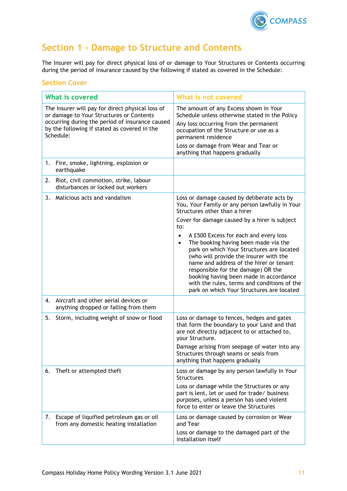

# <span id="page-10-0"></span>**Section 1 – Damage to Structure and Contents**

The Insurer will pay for direct physical loss of or damage to Your Structures or Contents occurring during the period of insurance caused by the following if stated as covered in the Schedule:

# **Section Cover**

| <b>What is covered</b>                                                                                                                                                                                       | What is not covered                                                                                                                                                                                                                                                                                                                                                                                                                                                                                                                                                                                              |
|--------------------------------------------------------------------------------------------------------------------------------------------------------------------------------------------------------------|------------------------------------------------------------------------------------------------------------------------------------------------------------------------------------------------------------------------------------------------------------------------------------------------------------------------------------------------------------------------------------------------------------------------------------------------------------------------------------------------------------------------------------------------------------------------------------------------------------------|
| The Insurer will pay for direct physical loss of<br>or damage to Your Structures or Contents<br>occurring during the period of insurance caused<br>by the following if stated as covered in the<br>Schedule: | The amount of any Excess shown in Your<br>Schedule unless otherwise stated in the Policy<br>Any loss occurring from the permanent<br>occupation of the Structure or use as a<br>permanent residence<br>Loss or damage from Wear and Tear or<br>anything that happens gradually                                                                                                                                                                                                                                                                                                                                   |
| Fire, smoke, lightning, explosion or<br>1.<br>earthquake                                                                                                                                                     |                                                                                                                                                                                                                                                                                                                                                                                                                                                                                                                                                                                                                  |
| Riot, civil commotion, strike, labour<br>2.<br>disturbances or locked out workers                                                                                                                            |                                                                                                                                                                                                                                                                                                                                                                                                                                                                                                                                                                                                                  |
| 3.<br>Malicious acts and vandalism                                                                                                                                                                           | Loss or damage caused by deliberate acts by<br>You, Your Family or any person lawfully in Your<br>Structures other than a hirer<br>Cover for damage caused by a hirer is subject<br>to:<br>A £500 Excess for each and every loss<br>$\bullet$<br>The booking having been made via the<br>$\bullet$<br>park on which Your Structures are located<br>(who will provide the Insurer with the<br>name and address of the hirer or tenant<br>responsible for the damage) OR the<br>booking having been made in accordance<br>with the rules, terms and conditions of the<br>park on which Your Structures are located |
| Aircraft and other aerial devices or<br>4.<br>anything dropped or falling from them                                                                                                                          |                                                                                                                                                                                                                                                                                                                                                                                                                                                                                                                                                                                                                  |
| Storm, including weight of snow or flood<br>5.                                                                                                                                                               | Loss or damage to fences, hedges and gates<br>that form the boundary to your Land and that<br>are not directly adjacent to or attached to,<br>your Structure.<br>Damage arising from seepage of water into any<br>Structures through seams or seals from<br>anything that happens gradually                                                                                                                                                                                                                                                                                                                      |
| Theft or attempted theft<br>6.                                                                                                                                                                               | Loss or damage by any person lawfully in Your<br><b>Structures</b><br>Loss or damage while the Structures or any<br>part is lent, let or used for trade/ business<br>purposes, unless a person has used violent<br>force to enter or leave the Structures                                                                                                                                                                                                                                                                                                                                                        |
| Escape of liquified petroleum gas or oil<br>7.<br>from any domestic heating installation                                                                                                                     | Loss or damage caused by corrosion or Wear<br>and Tear<br>Loss or damage to the damaged part of the<br>installation itself                                                                                                                                                                                                                                                                                                                                                                                                                                                                                       |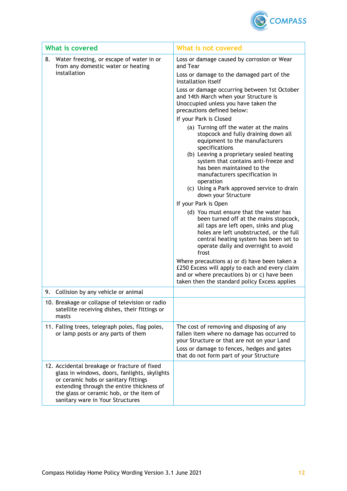

| <b>What is covered</b>                                                                                                                                                                                                                                             | What is not covered                                                                                                                                                                                                                                                                                                                                                                                                                                                                                                                                                                                                                                                   |
|--------------------------------------------------------------------------------------------------------------------------------------------------------------------------------------------------------------------------------------------------------------------|-----------------------------------------------------------------------------------------------------------------------------------------------------------------------------------------------------------------------------------------------------------------------------------------------------------------------------------------------------------------------------------------------------------------------------------------------------------------------------------------------------------------------------------------------------------------------------------------------------------------------------------------------------------------------|
| 8.<br>Water freezing, or escape of water in or<br>from any domestic water or heating<br>installation                                                                                                                                                               | Loss or damage caused by corrosion or Wear<br>and Tear<br>Loss or damage to the damaged part of the                                                                                                                                                                                                                                                                                                                                                                                                                                                                                                                                                                   |
|                                                                                                                                                                                                                                                                    | installation itself                                                                                                                                                                                                                                                                                                                                                                                                                                                                                                                                                                                                                                                   |
|                                                                                                                                                                                                                                                                    | Loss or damage occurring between 1st October<br>and 14th March when your Structure is<br>Unoccupied unless you have taken the<br>precautions defined below:                                                                                                                                                                                                                                                                                                                                                                                                                                                                                                           |
|                                                                                                                                                                                                                                                                    | If your Park is Closed                                                                                                                                                                                                                                                                                                                                                                                                                                                                                                                                                                                                                                                |
|                                                                                                                                                                                                                                                                    | (a) Turning off the water at the mains<br>stopcock and fully draining down all<br>equipment to the manufacturers<br>specifications<br>(b) Leaving a proprietary sealed heating<br>system that contains anti-freeze and<br>has been maintained to the<br>manufacturers specification in<br>operation<br>(c) Using a Park approved service to drain<br>down your Structure<br>If your Park is Open<br>(d) You must ensure that the water has<br>been turned off at the mains stopcock,<br>all taps are left open, sinks and plug<br>holes are left unobstructed, or the full<br>central heating system has been set to<br>operate daily and overnight to avoid<br>frost |
|                                                                                                                                                                                                                                                                    | Where precautions a) or d) have been taken a<br>£250 Excess will apply to each and every claim<br>and or where precautions b) or c) have been<br>taken then the standard policy Excess applies                                                                                                                                                                                                                                                                                                                                                                                                                                                                        |
| Collision by any vehicle or animal<br>9.                                                                                                                                                                                                                           |                                                                                                                                                                                                                                                                                                                                                                                                                                                                                                                                                                                                                                                                       |
| 10. Breakage or collapse of television or radio<br>satellite receiving dishes, their fittings or<br>masts                                                                                                                                                          |                                                                                                                                                                                                                                                                                                                                                                                                                                                                                                                                                                                                                                                                       |
| 11. Falling trees, telegraph poles, flag poles,<br>or lamp posts or any parts of them                                                                                                                                                                              | The cost of removing and disposing of any<br>fallen item where no damage has occurred to<br>your Structure or that are not on your Land<br>Loss or damage to fences, hedges and gates<br>that do not form part of your Structure                                                                                                                                                                                                                                                                                                                                                                                                                                      |
| 12. Accidental breakage or fracture of fixed<br>glass in windows, doors, fanlights, skylights<br>or ceramic hobs or sanitary fittings<br>extending through the entire thickness of<br>the glass or ceramic hob, or the item of<br>sanitary ware in Your Structures |                                                                                                                                                                                                                                                                                                                                                                                                                                                                                                                                                                                                                                                                       |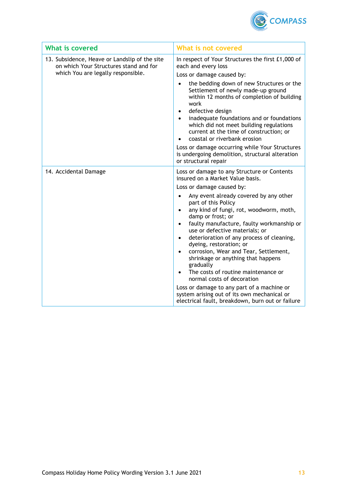

| <b>What is covered</b>                                                                                                        | What is not covered                                                                                                                                                                                                                                                                                                                                                                                                                                                                                                                                                                                                                                     |
|-------------------------------------------------------------------------------------------------------------------------------|---------------------------------------------------------------------------------------------------------------------------------------------------------------------------------------------------------------------------------------------------------------------------------------------------------------------------------------------------------------------------------------------------------------------------------------------------------------------------------------------------------------------------------------------------------------------------------------------------------------------------------------------------------|
| 13. Subsidence, Heave or Landslip of the site<br>on which Your Structures stand and for<br>which You are legally responsible. | In respect of Your Structures the first £1,000 of<br>each and every loss<br>Loss or damage caused by:<br>the bedding down of new Structures or the<br>Settlement of newly made-up ground<br>within 12 months of completion of building<br>work<br>defective design<br>$\bullet$<br>inadequate foundations and or foundations<br>$\bullet$<br>which did not meet building regulations<br>current at the time of construction; or<br>coastal or riverbank erosion<br>Loss or damage occurring while Your Structures<br>is undergoing demolition, structural alteration                                                                                    |
|                                                                                                                               | or structural repair                                                                                                                                                                                                                                                                                                                                                                                                                                                                                                                                                                                                                                    |
| 14. Accidental Damage                                                                                                         | Loss or damage to any Structure or Contents<br>insured on a Market Value basis.<br>Loss or damage caused by:                                                                                                                                                                                                                                                                                                                                                                                                                                                                                                                                            |
|                                                                                                                               | Any event already covered by any other<br>٠<br>part of this Policy<br>any kind of fungi, rot, woodworm, moth,<br>$\bullet$<br>damp or frost; or<br>faulty manufacture, faulty workmanship or<br>$\bullet$<br>use or defective materials; or<br>deterioration of any process of cleaning,<br>٠<br>dyeing, restoration; or<br>corrosion, Wear and Tear, Settlement,<br>$\bullet$<br>shrinkage or anything that happens<br>gradually<br>The costs of routine maintenance or<br>normal costs of decoration<br>Loss or damage to any part of a machine or<br>system arising out of its own mechanical or<br>electrical fault, breakdown, burn out or failure |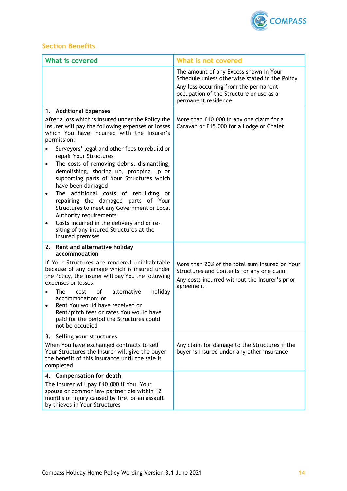

# **Section Benefits**

| <b>What is covered</b>                                                                                                                                                                                                                                                                             | What is not covered                                                                                                                                                                                 |
|----------------------------------------------------------------------------------------------------------------------------------------------------------------------------------------------------------------------------------------------------------------------------------------------------|-----------------------------------------------------------------------------------------------------------------------------------------------------------------------------------------------------|
|                                                                                                                                                                                                                                                                                                    | The amount of any Excess shown in Your<br>Schedule unless otherwise stated in the Policy<br>Any loss occurring from the permanent<br>occupation of the Structure or use as a<br>permanent residence |
| 1. Additional Expenses                                                                                                                                                                                                                                                                             |                                                                                                                                                                                                     |
| After a loss which is insured under the Policy the<br>Insurer will pay the following expenses or losses<br>which You have incurred with the Insurer's<br>permission:<br>Surveyors' legal and other fees to rebuild or<br>repair Your Structures<br>The costs of removing debris, dismantling,<br>٠ | More than £10,000 in any one claim for a<br>Caravan or £15,000 for a Lodge or Chalet                                                                                                                |
| demolishing, shoring up, propping up or<br>supporting parts of Your Structures which<br>have been damaged                                                                                                                                                                                          |                                                                                                                                                                                                     |
| The additional costs of rebuilding or<br>$\bullet$<br>repairing the damaged parts of Your<br>Structures to meet any Government or Local<br>Authority requirements<br>Costs incurred in the delivery and or re-<br>٠                                                                                |                                                                                                                                                                                                     |
| siting of any insured Structures at the<br>insured premises                                                                                                                                                                                                                                        |                                                                                                                                                                                                     |
| 2. Rent and alternative holiday<br>accommodation                                                                                                                                                                                                                                                   |                                                                                                                                                                                                     |
| If Your Structures are rendered uninhabitable<br>because of any damage which is insured under<br>the Policy, the Insurer will pay You the following<br>expenses or losses:                                                                                                                         | More than 20% of the total sum insured on Your<br>Structures and Contents for any one claim<br>Any costs incurred without the Insurer's prior<br>agreement                                          |
| alternative<br><b>The</b><br>of<br>holiday<br>cost<br>accommodation; or<br>Rent You would have received or<br>$\bullet$<br>Rent/pitch fees or rates You would have<br>paid for the period the Structures could<br>not be occupied                                                                  |                                                                                                                                                                                                     |
| 3. Selling your structures<br>When You have exchanged contracts to sell<br>Your Structures the Insurer will give the buyer<br>the benefit of this insurance until the sale is<br>completed                                                                                                         | Any claim for damage to the Structures if the<br>buyer is insured under any other insurance                                                                                                         |
| 4. Compensation for death<br>The Insurer will pay £10,000 if You, Your<br>spouse or common law partner die within 12<br>months of injury caused by fire, or an assault<br>by thieves in Your Structures                                                                                            |                                                                                                                                                                                                     |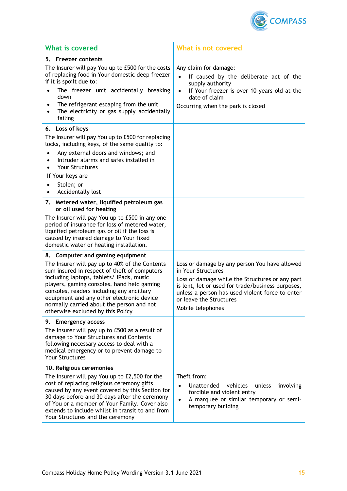

| <b>What is covered</b>                                                                                                                                                                                                                                                                                                                                                                                   | What is not covered                                                                                                                                                                                                                                                            |
|----------------------------------------------------------------------------------------------------------------------------------------------------------------------------------------------------------------------------------------------------------------------------------------------------------------------------------------------------------------------------------------------------------|--------------------------------------------------------------------------------------------------------------------------------------------------------------------------------------------------------------------------------------------------------------------------------|
| 5. Freezer contents<br>The Insurer will pay You up to £500 for the costs<br>of replacing food in Your domestic deep freezer<br>if it is spoilt due to:<br>The freezer unit accidentally breaking<br>down<br>The refrigerant escaping from the unit<br>The electricity or gas supply accidentally<br>failing                                                                                              | Any claim for damage:<br>$\bullet$<br>If caused by the deliberate act of the<br>supply authority<br>If Your freezer is over 10 years old at the<br>date of claim<br>Occurring when the park is closed                                                                          |
| 6. Loss of keys<br>The Insurer will pay You up to £500 for replacing<br>locks, including keys, of the same quality to:<br>Any external doors and windows; and<br>Intruder alarms and safes installed in                                                                                                                                                                                                  |                                                                                                                                                                                                                                                                                |
| <b>Your Structures</b><br>If Your keys are<br>Stolen; or<br>Accidentally lost                                                                                                                                                                                                                                                                                                                            |                                                                                                                                                                                                                                                                                |
| 7. Metered water, liquified petroleum gas<br>or oil used for heating                                                                                                                                                                                                                                                                                                                                     |                                                                                                                                                                                                                                                                                |
| The Insurer will pay You up to £500 in any one<br>period of insurance for loss of metered water,<br>liquified petroleum gas or oil if the loss is<br>caused by insured damage to Your fixed<br>domestic water or heating installation.                                                                                                                                                                   |                                                                                                                                                                                                                                                                                |
| 8. Computer and gaming equipment<br>The Insurer will pay up to 40% of the Contents<br>sum insured in respect of theft of computers<br>including laptops, tablets/ iPads, music<br>players, gaming consoles, hand held gaming<br>consoles, readers including any ancillary<br>equipment and any other electronic device<br>normally carried about the person and not<br>otherwise excluded by this Policy | Loss or damage by any person You have allowed<br>in Your Structures<br>Loss or damage while the Structures or any part<br>is lent, let or used for trade/business purposes,<br>unless a person has used violent force to enter<br>or leave the Structures<br>Mobile telephones |
| <b>Emergency access</b><br>9.<br>The Insurer will pay up to £500 as a result of<br>damage to Your Structures and Contents<br>following necessary access to deal with a<br>medical emergency or to prevent damage to<br><b>Your Structures</b>                                                                                                                                                            |                                                                                                                                                                                                                                                                                |
| 10. Religious ceremonies<br>The Insurer will pay You up to £2,500 for the<br>cost of replacing religious ceremony gifts<br>caused by any event covered by this Section for<br>30 days before and 30 days after the ceremony<br>of You or a member of Your Family. Cover also<br>extends to include whilst in transit to and from<br>Your Structures and the ceremony                                     | Theft from:<br>Unattended<br>vehicles<br>unless<br>involving<br>$\bullet$<br>forcible and violent entry<br>A marquee or similar temporary or semi-<br>$\bullet$<br>temporary building                                                                                          |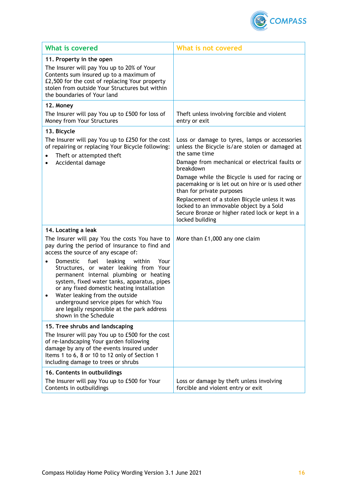

| <b>What is covered</b>                                                                                                                                                                                                                                                                                                                                                                          | <b>What is not covered</b>                                                                                                                                                                                                                                                                                                                                                                                                                                                            |
|-------------------------------------------------------------------------------------------------------------------------------------------------------------------------------------------------------------------------------------------------------------------------------------------------------------------------------------------------------------------------------------------------|---------------------------------------------------------------------------------------------------------------------------------------------------------------------------------------------------------------------------------------------------------------------------------------------------------------------------------------------------------------------------------------------------------------------------------------------------------------------------------------|
| 11. Property in the open<br>The Insurer will pay You up to 20% of Your<br>Contents sum insured up to a maximum of<br>£2,500 for the cost of replacing Your property<br>stolen from outside Your Structures but within<br>the boundaries of Your land                                                                                                                                            |                                                                                                                                                                                                                                                                                                                                                                                                                                                                                       |
| 12. Money<br>The Insurer will pay You up to £500 for loss of<br>Money from Your Structures                                                                                                                                                                                                                                                                                                      | Theft unless involving forcible and violent<br>entry or exit                                                                                                                                                                                                                                                                                                                                                                                                                          |
| 13. Bicycle<br>The Insurer will pay You up to £250 for the cost<br>of repairing or replacing Your Bicycle following:<br>Theft or attempted theft<br>Accidental damage                                                                                                                                                                                                                           | Loss or damage to tyres, lamps or accessories<br>unless the Bicycle is/are stolen or damaged at<br>the same time<br>Damage from mechanical or electrical faults or<br>breakdown<br>Damage while the Bicycle is used for racing or<br>pacemaking or is let out on hire or is used other<br>than for private purposes<br>Replacement of a stolen Bicycle unless it was<br>locked to an immovable object by a Sold<br>Secure Bronze or higher rated lock or kept in a<br>locked building |
| 14. Locating a leak<br>The Insurer will pay You the costs You have to<br>pay during the period of insurance to find and<br>access the source of any escape of:                                                                                                                                                                                                                                  | More than £1,000 any one claim                                                                                                                                                                                                                                                                                                                                                                                                                                                        |
| fuel<br>leaking<br>within<br>Your<br><b>Domestic</b><br>Structures, or water leaking from Your<br>permanent internal plumbing or heating<br>system, fixed water tanks, apparatus, pipes<br>or any fixed domestic heating installation<br>Water leaking from the outside<br>٠<br>underground service pipes for which You<br>are legally responsible at the park address<br>shown in the Schedule |                                                                                                                                                                                                                                                                                                                                                                                                                                                                                       |
| 15. Tree shrubs and landscaping<br>The Insurer will pay You up to £500 for the cost<br>of re-landscaping Your garden following<br>damage by any of the events insured under<br>Items 1 to 6, 8 or 10 to 12 only of Section 1<br>including damage to trees or shrubs                                                                                                                             |                                                                                                                                                                                                                                                                                                                                                                                                                                                                                       |
| 16. Contents in outbuildings<br>The Insurer will pay You up to £500 for Your<br>Contents in outbuildings                                                                                                                                                                                                                                                                                        | Loss or damage by theft unless involving<br>forcible and violent entry or exit                                                                                                                                                                                                                                                                                                                                                                                                        |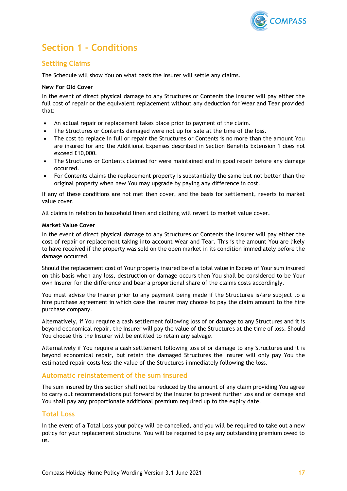

# <span id="page-16-0"></span>**Section 1 - Conditions**

# **Settling Claims**

The Schedule will show You on what basis the Insurer will settle any claims.

# **New For Old Cover**

In the event of direct physical damage to any Structures or Contents the Insurer will pay either the full cost of repair or the equivalent replacement without any deduction for Wear and Tear provided that:

- An actual repair or replacement takes place prior to payment of the claim.
- The Structures or Contents damaged were not up for sale at the time of the loss.
- The cost to replace in full or repair the Structures or Contents is no more than the amount You are insured for and the Additional Expenses described in Section Benefits Extension 1 does not exceed £10,000.
- The Structures or Contents claimed for were maintained and in good repair before any damage occurred.
- For Contents claims the replacement property is substantially the same but not better than the original property when new You may upgrade by paying any difference in cost.

If any of these conditions are not met then cover, and the basis for settlement, reverts to market value cover.

All claims in relation to household linen and clothing will revert to market value cover.

### **Market Value Cover**

In the event of direct physical damage to any Structures or Contents the Insurer will pay either the cost of repair or replacement taking into account Wear and Tear. This is the amount You are likely to have received if the property was sold on the open market in its condition immediately before the damage occurred.

Should the replacement cost of Your property insured be of a total value in Excess of Your sum insured on this basis when any loss, destruction or damage occurs then You shall be considered to be Your own Insurer for the difference and bear a proportional share of the claims costs accordingly.

You must advise the Insurer prior to any payment being made if the Structures is/are subject to a hire purchase agreement in which case the Insurer may choose to pay the claim amount to the hire purchase company.

Alternatively, if You require a cash settlement following loss of or damage to any Structures and it is beyond economical repair, the Insurer will pay the value of the Structures at the time of loss. Should You choose this the Insurer will be entitled to retain any salvage.

Alternatively if You require a cash settlement following loss of or damage to any Structures and it is beyond economical repair, but retain the damaged Structures the Insurer will only pay You the estimated repair costs less the value of the Structures immediately following the loss.

# **Automatic reinstatement of the sum insured**

The sum insured by this section shall not be reduced by the amount of any claim providing You agree to carry out recommendations put forward by the Insurer to prevent further loss and or damage and You shall pay any proportionate additional premium required up to the expiry date.

# **Total Loss**

In the event of a Total Loss your policy will be cancelled, and you will be required to take out a new policy for your replacement structure. You will be required to pay any outstanding premium owed to us.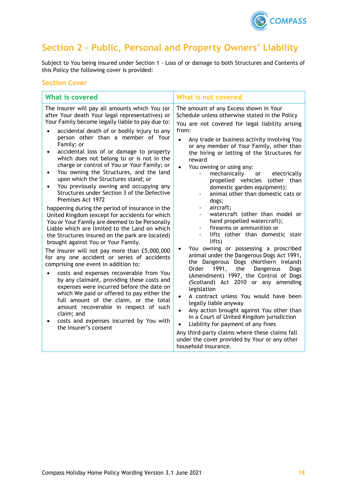

# <span id="page-17-0"></span>**Section 2 – Public, Personal and Property Owners' Liability**

Subject to You being insured under Section 1 - Loss of or damage to both Structures and Contents of this Policy the following cover is provided:

# **Section Cover**

| <b>What is covered</b>                                                                                                                                                                                                                                                                                                                                                                                                                                                                                                                                                                                                                                                                                                                                                                                                                                                                                                                                                                                                                                                                                                                                                                                                                                                                                                                                                                                                         | What is not covered                                                                                                                                                                                                                                                                                                                                                                                                                                                                                                                                                                                                                                                                                                                                                                                                                                                                                                                                                                                                                                                                                                                                                                                                                                                                          |
|--------------------------------------------------------------------------------------------------------------------------------------------------------------------------------------------------------------------------------------------------------------------------------------------------------------------------------------------------------------------------------------------------------------------------------------------------------------------------------------------------------------------------------------------------------------------------------------------------------------------------------------------------------------------------------------------------------------------------------------------------------------------------------------------------------------------------------------------------------------------------------------------------------------------------------------------------------------------------------------------------------------------------------------------------------------------------------------------------------------------------------------------------------------------------------------------------------------------------------------------------------------------------------------------------------------------------------------------------------------------------------------------------------------------------------|----------------------------------------------------------------------------------------------------------------------------------------------------------------------------------------------------------------------------------------------------------------------------------------------------------------------------------------------------------------------------------------------------------------------------------------------------------------------------------------------------------------------------------------------------------------------------------------------------------------------------------------------------------------------------------------------------------------------------------------------------------------------------------------------------------------------------------------------------------------------------------------------------------------------------------------------------------------------------------------------------------------------------------------------------------------------------------------------------------------------------------------------------------------------------------------------------------------------------------------------------------------------------------------------|
| The Insurer will pay all amounts which You (or<br>after Your death Your legal representatives) or<br>Your Family become legally liable to pay due to:<br>accidental death of or bodily injury to any<br>person other than a member of Your<br>Family; or<br>accidental loss of or damage to property<br>which does not belong to or is not in the<br>charge or control of You or Your Family; or<br>You owning the Structures, and the land<br>$\bullet$<br>upon which the Structures stand; or<br>You previously owning and occupying any<br>$\bullet$<br>Structures under Section 3 of the Defective<br>Premises Act 1972<br>happening during the period of insurance in the<br>United Kingdom (except for accidents for which<br>You or Your Family are deemed to be Personally<br>Liable which are limited to the Land on which<br>the Structures insured on the park are located)<br>brought against You or Your Family.<br>The Insurer will not pay more than £5,000,000<br>for any one accident or series of accidents<br>comprising one event in addition to:<br>costs and expenses recoverable from You<br>by any claimant, providing these costs and<br>expenses were incurred before the date on<br>which We paid or offered to pay either the<br>full amount of the claim, or the total<br>amount recoverable in respect of such<br>claim; and<br>costs and expenses incurred by You with<br>the Insurer's consent | The amount of any Excess shown in Your<br>Schedule unless otherwise stated in the Policy<br>You are not covered for legal liability arising<br>from:<br>Any trade or business activity involving You<br>or any member of Your Family, other than<br>the hiring or letting of the Structures for<br>reward<br>You owning or using any:<br>mechanically or electrically<br>propelled vehicles (other than<br>domestic garden equipment);<br>animal other than domestic cats or<br>dogs;<br>aircraft;<br>watercraft (other than model or<br>hand propelled watercraft);<br>firearms or ammunition or<br>lifts (other than domestic stair<br>lifts)<br>You owning or possessing a proscribed<br>animal under the Dangerous Dogs Act 1991,<br>the Dangerous Dogs (Northern Ireland)<br>1991, the<br>Order<br>Dangerous<br>Dogs<br>(Amendment) 1997, the Control of Dogs<br>(Scotland) Act 2010 or any amending<br>legislation<br>A contract unless You would have been<br>$\bullet$<br>legally liable anyway<br>Any action brought against You other than<br>$\bullet$<br>in a Court of United Kingdom jurisdiction<br>Liability for payment of any fines<br>$\bullet$<br>Any third-party claims where these claims fall<br>under the cover provided by Your or any other<br>household insurance. |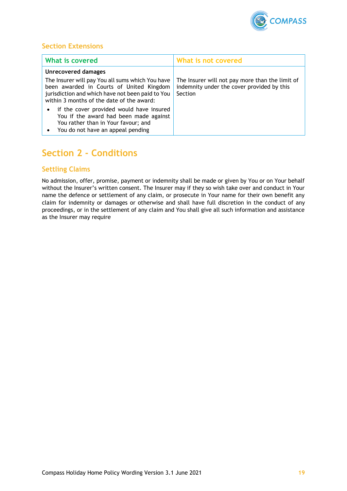

# **Section Extensions**

| <b>What is covered</b>                                                                                                                                                                        | What is not covered                                                                                      |
|-----------------------------------------------------------------------------------------------------------------------------------------------------------------------------------------------|----------------------------------------------------------------------------------------------------------|
| <b>Unrecovered damages</b>                                                                                                                                                                    |                                                                                                          |
| The Insurer will pay You all sums which You have<br>been awarded in Courts of United Kingdom<br>jurisdiction and which have not been paid to You<br>within 3 months of the date of the award: | The Insurer will not pay more than the limit of<br>indemnity under the cover provided by this<br>Section |
| if the cover provided would have insured<br>$\bullet$<br>You if the award had been made against<br>You rather than in Your favour; and<br>You do not have an appeal pending<br>٠              |                                                                                                          |

# <span id="page-18-0"></span>**Section 2 - Conditions**

# **Settling Claims**

No admission, offer, promise, payment or indemnity shall be made or given by You or on Your behalf without the Insurer's written consent. The Insurer may if they so wish take over and conduct in Your name the defence or settlement of any claim, or prosecute in Your name for their own benefit any claim for indemnity or damages or otherwise and shall have full discretion in the conduct of any proceedings, or in the settlement of any claim and You shall give all such information and assistance as the Insurer may require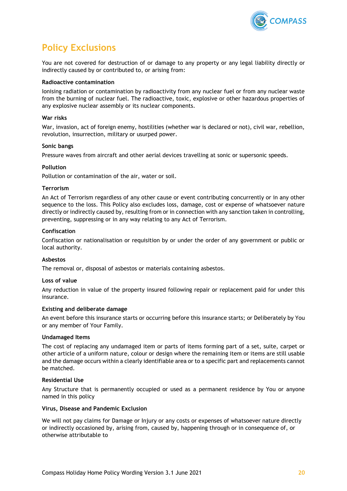

# <span id="page-19-0"></span>**Policy Exclusions**

You are not covered for destruction of or damage to any property or any legal liability directly or indirectly caused by or contributed to, or arising from:

### **Radioactive contamination**

Ionising radiation or contamination by radioactivity from any nuclear fuel or from any nuclear waste from the burning of nuclear fuel. The radioactive, toxic, explosive or other hazardous properties of any explosive nuclear assembly or its nuclear components.

### **War risks**

War, invasion, act of foreign enemy, hostilities (whether war is declared or not), civil war, rebellion, revolution, insurrection, military or usurped power.

#### **Sonic bangs**

Pressure waves from aircraft and other aerial devices travelling at sonic or supersonic speeds.

### **Pollution**

Pollution or contamination of the air, water or soil.

### **Terrorism**

An Act of Terrorism regardless of any other cause or event contributing concurrently or in any other sequence to the loss. This Policy also excludes loss, damage, cost or expense of whatsoever nature directly or indirectly caused by, resulting from or in connection with any sanction taken in controlling, preventing, suppressing or in any way relating to any Act of Terrorism.

### **Confiscation**

Confiscation or nationalisation or requisition by or under the order of any government or public or local authority.

#### **Asbestos**

The removal or, disposal of asbestos or materials containing asbestos.

# **Loss of value**

Any reduction in value of the property insured following repair or replacement paid for under this insurance.

#### **Existing and deliberate damage**

An event before this insurance starts or occurring before this insurance starts; or Deliberately by You or any member of Your Family.

# **Undamaged Items**

The cost of replacing any undamaged item or parts of items forming part of a set, suite, carpet or other article of a uniform nature, colour or design where the remaining item or items are still usable and the damage occurs within a clearly identifiable area or to a specific part and replacements cannot be matched.

# **Residential Use**

Any Structure that is permanently occupied or used as a permanent residence by You or anyone named in this policy

#### **Virus, Disease and Pandemic Exclusion**

We will not pay claims for Damage or Injury or any costs or expenses of whatsoever nature directly or indirectly occasioned by, arising from, caused by, happening through or in consequence of, or otherwise attributable to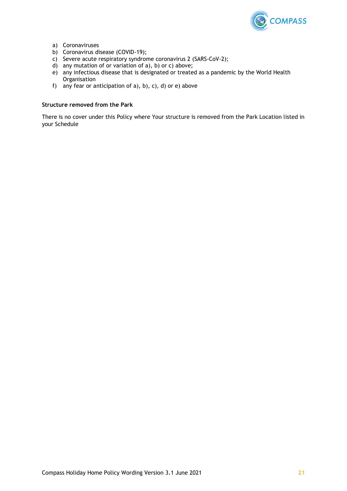

- a) Coronaviruses
- b) Coronavirus disease (COVID-19);
- c) Severe acute respiratory syndrome coronavirus 2 (SARS-CoV-2);
- d) any mutation of or variation of a), b) or c) above;
- e) any infectious disease that is designated or treated as a pandemic by the World Health **Organisation**
- f) any fear or anticipation of  $a$ ),  $b$ ),  $c$ ),  $d$ ) or  $e$ ) above

### **Structure removed from the Park**

There is no cover under this Policy where Your structure is removed from the Park Location listed in your Schedule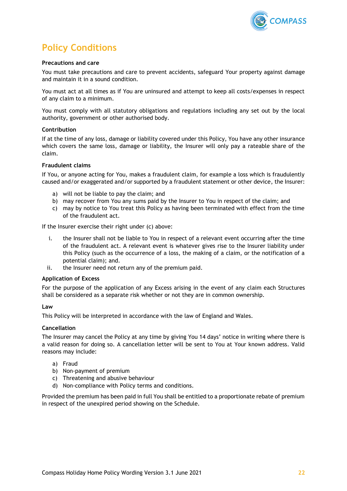

# <span id="page-21-0"></span>**Policy Conditions**

### **Precautions and care**

You must take precautions and care to prevent accidents, safeguard Your property against damage and maintain it in a sound condition.

You must act at all times as if You are uninsured and attempt to keep all costs/expenses in respect of any claim to a minimum.

You must comply with all statutory obligations and regulations including any set out by the local authority, government or other authorised body.

### **Contribution**

If at the time of any loss, damage or liability covered under this Policy, You have any other insurance which covers the same loss, damage or liability, the Insurer will only pay a rateable share of the claim.

### **Fraudulent claims**

If You, or anyone acting for You, makes a fraudulent claim, for example a loss which is fraudulently caused and/or exaggerated and/or supported by a fraudulent statement or other device, the Insurer:

- a) will not be liable to pay the claim; and
- b) may recover from You any sums paid by the Insurer to You in respect of the claim; and
- c) may by notice to You treat this Policy as having been terminated with effect from the time of the fraudulent act.

If the Insurer exercise their right under (c) above:

- i. the Insurer shall not be liable to You in respect of a relevant event occurring after the time of the fraudulent act. A relevant event is whatever gives rise to the Insurer liability under this Policy (such as the occurrence of a loss, the making of a claim, or the notification of a potential claim); and.
- ii. the Insurer need not return any of the premium paid.

#### **Application of Excess**

For the purpose of the application of any Excess arising in the event of any claim each Structures shall be considered as a separate risk whether or not they are in common ownership.

#### **Law**

This Policy will be interpreted in accordance with the law of England and Wales.

# **Cancellation**

The Insurer may cancel the Policy at any time by giving You 14 days' notice in writing where there is a valid reason for doing so. A cancellation letter will be sent to You at Your known address. Valid reasons may include:

- a) Fraud
- b) Non-payment of premium
- c) Threatening and abusive behaviour
- d) Non-compliance with Policy terms and conditions.

Provided the premium has been paid in full You shall be entitled to a proportionate rebate of premium in respect of the unexpired period showing on the Schedule.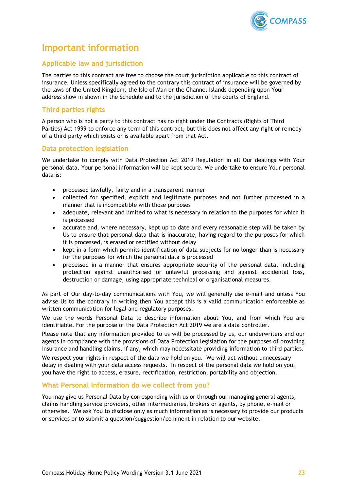

# <span id="page-22-0"></span>**Important information**

# **Applicable law and jurisdiction**

The parties to this contract are free to choose the court jurisdiction applicable to this contract of insurance. Unless specifically agreed to the contrary this contract of insurance will be governed by the laws of the United Kingdom, the Isle of Man or the Channel Islands depending upon Your address show in shown in the Schedule and to the jurisdiction of the courts of England.

# **Third parties rights**

A person who is not a party to this contract has no right under the Contracts (Rights of Third Parties) Act 1999 to enforce any term of this contract, but this does not affect any right or remedy of a third party which exists or is available apart from that Act.

# **Data protection legislation**

We undertake to comply with Data Protection Act 2019 Regulation in all Our dealings with Your personal data. Your personal information will be kept secure. We undertake to ensure Your personal data is:

- processed lawfully, fairly and in a transparent manner
- collected for specified, explicit and legitimate purposes and not further processed in a manner that is incompatible with those purposes
- adequate, relevant and limited to what is necessary in relation to the purposes for which it is processed
- accurate and, where necessary, kept up to date and every reasonable step will be taken by Us to ensure that personal data that is inaccurate, having regard to the purposes for which it is processed, is erased or rectified without delay
- kept in a form which permits identification of data subjects for no longer than is necessary for the purposes for which the personal data is processed
- processed in a manner that ensures appropriate security of the personal data, including protection against unauthorised or unlawful processing and against accidental loss, destruction or damage, using appropriate technical or organisational measures.

As part of Our day-to-day communications with You, we will generally use e-mail and unless You advise Us to the contrary in writing then You accept this is a valid communication enforceable as written communication for legal and regulatory purposes.

We use the words Personal Data to describe information about You, and from which You are identifiable. For the purpose of the Data Protection Act 2019 we are a data controller.

Please note that any information provided to us will be processed by us, our underwriters and our agents in compliance with the provisions of Data Protection legislation for the purposes of providing insurance and handling claims, if any, which may necessitate providing information to third parties.

We respect your rights in respect of the data we hold on you. We will act without unnecessary delay in dealing with your data access requests. In respect of the personal data we hold on you, you have the right to access, erasure, rectification, restriction, portability and objection.

# **What Personal Information do we collect from you?**

You may give us Personal Data by corresponding with us or through our managing general agents, claims handling service providers, other intermediaries, brokers or agents, by phone, e-mail or otherwise. We ask You to disclose only as much information as is necessary to provide our products or services or to submit a question/suggestion/comment in relation to our website.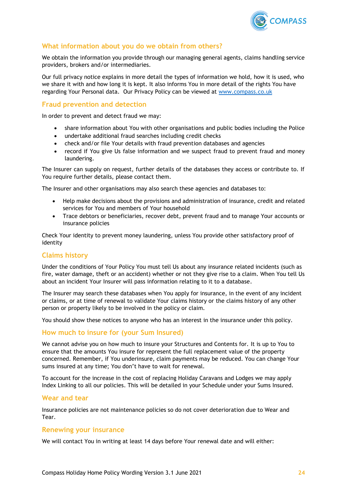

# **What information about you do we obtain from others?**

We obtain the information you provide through our managing general agents, claims handling service providers, brokers and/or intermediaries.

Our full privacy notice explains in more detail the types of information we hold, how it is used, who we share it with and how long it is kept. It also informs You in more detail of the rights You have regarding Your Personal data. Our Privacy Policy can be viewed at [www.compass.co.uk](http://www.compass.co.uk/)

# **Fraud prevention and detection**

In order to prevent and detect fraud we may:

- share information about You with other organisations and public bodies including the Police
- undertake additional fraud searches including credit checks
- check and/or file Your details with fraud prevention databases and agencies
- record if You give Us false information and we suspect fraud to prevent fraud and money laundering.

The Insurer can supply on request, further details of the databases they access or contribute to. If You require further details, please contact them.

The Insurer and other organisations may also search these agencies and databases to:

- Help make decisions about the provisions and administration of insurance, credit and related services for You and members of Your household
- Trace debtors or beneficiaries, recover debt, prevent fraud and to manage Your accounts or insurance policies

Check Your identity to prevent money laundering, unless You provide other satisfactory proof of identity

# **Claims history**

Under the conditions of Your Policy You must tell Us about any insurance related incidents (such as fire, water damage, theft or an accident) whether or not they give rise to a claim. When You tell Us about an incident Your Insurer will pass information relating to it to a database.

The Insurer may search these databases when You apply for insurance, in the event of any incident or claims, or at time of renewal to validate Your claims history or the claims history of any other person or property likely to be involved in the policy or claim.

You should show these notices to anyone who has an interest in the insurance under this policy.

# **How much to insure for (your Sum Insured)**

We cannot advise you on how much to insure your Structures and Contents for. It is up to You to ensure that the amounts You insure for represent the full replacement value of the property concerned. Remember, if You underinsure, claim payments may be reduced. You can change Your sums insured at any time; You don't have to wait for renewal.

To account for the increase in the cost of replacing Holiday Caravans and Lodges we may apply Index Linking to all our policies. This will be detailed in your Schedule under your Sums Insured.

# **Wear and tear**

Insurance policies are not maintenance policies so do not cover deterioration due to Wear and Tear.

# **Renewing your insurance**

We will contact You in writing at least 14 days before Your renewal date and will either: